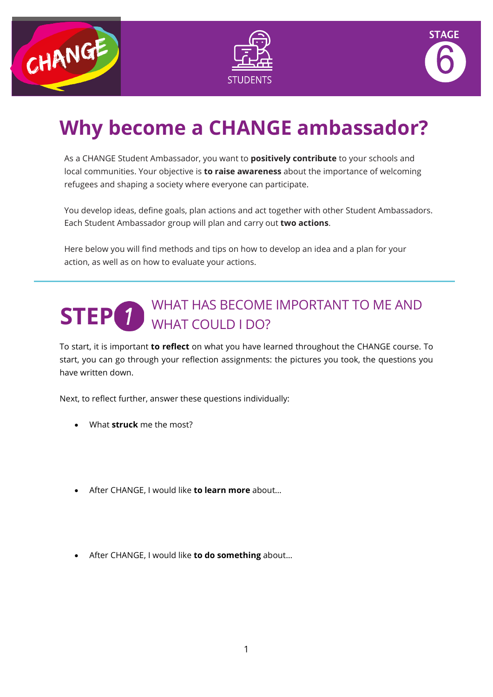





# **Why become a CHANGE ambassador?**

As a CHANGE Student Ambassador, you want to **positively contribute** to your schools and local communities. Your objective is **to raise awareness** about the importance of welcoming refugees and shaping a society where everyone can participate.

You develop ideas, define goals, plan actions and act together with other Student Ambassadors. Each Student Ambassador group will plan and carry out **two actions**.

Here below you will find methods and tips on how to develop an idea and a plan for your action, as well as on how to evaluate your actions.

#### WHAT HAS BECOME IMPORTANT TO ME AND WHAT COULD I DO? **STEP**

To start, it is important **to reflect** on what you have learned throughout the CHANGE course. To start, you can go through your reflection assignments: the pictures you took, the questions you have written down.

Next, to reflect further, answer these questions individually:

- What **struck** me the most?
- After CHANGE, I would like **to learn more** about…
- After CHANGE, I would like **to do something** about…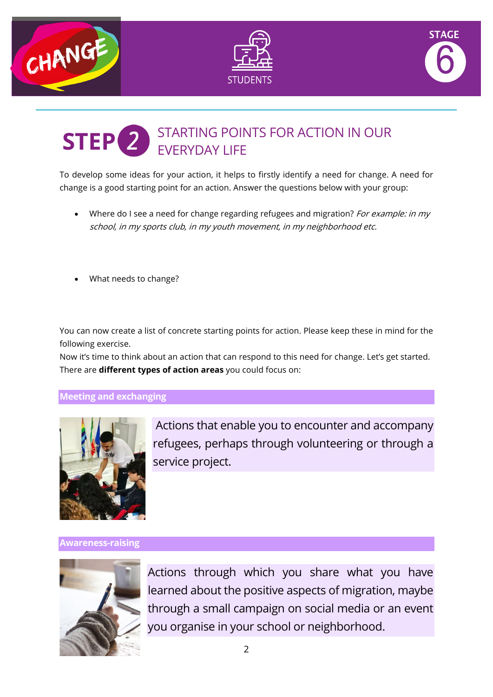





#### STARTING POINTS FOR ACTION IN OUR EVERYDAY LIFE **STEP**

To develop some ideas for your action, it helps to firstly identify a need for change. A need for change is a good starting point for an action. Answer the questions below with your group:

- Where do I see a need for change regarding refugees and migration? For example: in my school, in my sports club, in my youth movement, in my neighborhood etc.
- What needs to change?

You can now create a list of concrete starting points for action. Please keep these in mind for the following exercise.

Now it's time to think about an action that can respond to this need for change. Let's get started. There are **different types of action areas** you could focus on:

#### **Meeting and exchanging**



Actions that enable you to encounter and accompany refugees, perhaps through volunteering or through a service project.

**Awareness-raising**



Actions through which you share what you have learned about the positive aspects of migration, maybe through a small campaign on social media or an event you organise in your school or neighborhood.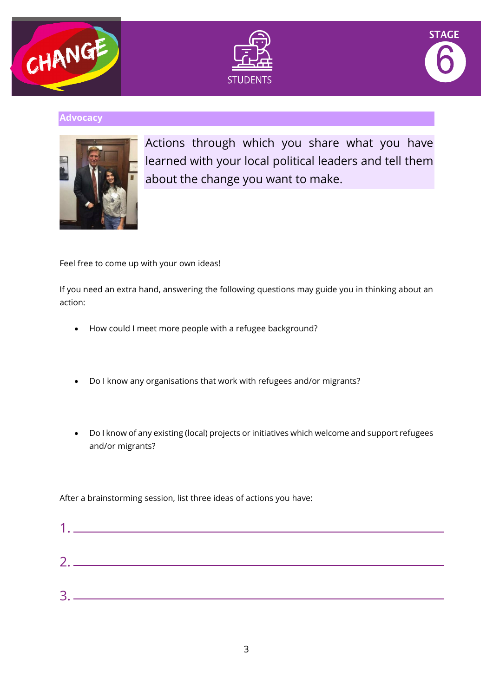





#### **Advocacy**



Actions through which you share what you have learned with your local political leaders and tell them about the change you want to make.

Feel free to come up with your own ideas!

If you need an extra hand, answering the following questions may guide you in thinking about an action:

- How could I meet more people with a refugee background?
- Do I know any organisations that work with refugees and/or migrants?
- Do I know of any existing (local) projects or initiatives which welcome and support refugees and/or migrants?

After a brainstorming session, list three ideas of actions you have:

| 1 <sub>1</sub> |  |  |  |
|----------------|--|--|--|
| 2.             |  |  |  |
| 3              |  |  |  |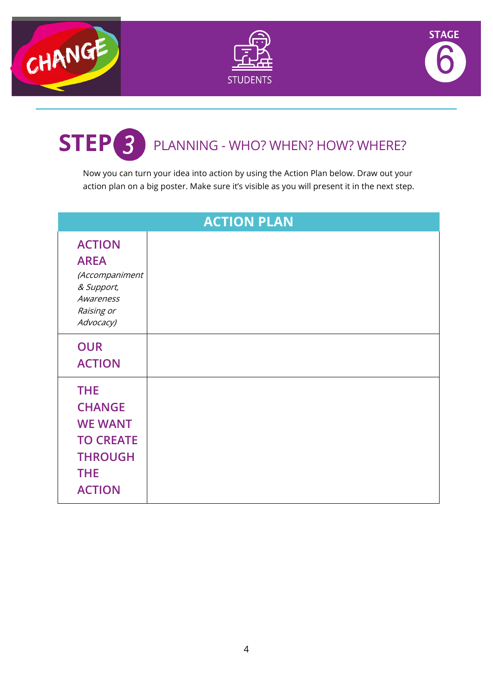





### PLANNING - WHO? WHEN? HOW? WHERE? **STEP**

Now you can turn your idea into action by using the Action Plan below. Draw out your action plan on a big poster. Make sure it's visible as you will present it in the next step.

| <b>ACTION PLAN</b>                                                                                                 |  |  |  |  |  |
|--------------------------------------------------------------------------------------------------------------------|--|--|--|--|--|
| <b>ACTION</b><br><b>AREA</b><br>(Accompaniment<br>& Support,<br>Awareness<br>Raising or<br>Advocacy)               |  |  |  |  |  |
| <b>OUR</b><br><b>ACTION</b>                                                                                        |  |  |  |  |  |
| <b>THE</b><br><b>CHANGE</b><br><b>WE WANT</b><br><b>TO CREATE</b><br><b>THROUGH</b><br><b>THE</b><br><b>ACTION</b> |  |  |  |  |  |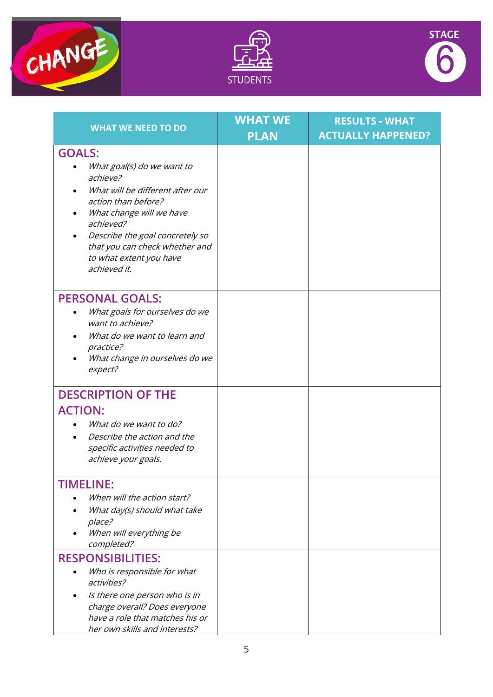





| <b>WHAT WE NEED TO DO</b>                                                                                                                                                                                                                                                   | <b>WHAT WE</b><br><b>PLAN</b> | <b>RESULTS - WHAT</b><br><b>ACTUALLY HAPPENED?</b> |
|-----------------------------------------------------------------------------------------------------------------------------------------------------------------------------------------------------------------------------------------------------------------------------|-------------------------------|----------------------------------------------------|
| <b>GOALS:</b><br>What goal(s) do we want to<br>achieve?<br>What will be different after our<br>action than before?<br>What change will we have<br>achieved?<br>Describe the goal concretely so<br>that you can check whether and<br>to what extent you have<br>achieved it. |                               |                                                    |
| <b>PERSONAL GOALS:</b><br>What goals for ourselves do we<br>want to achieve?<br>What do we want to learn and<br>practice?<br>What change in ourselves do we<br>expect?                                                                                                      |                               |                                                    |
| <b>DESCRIPTION OF THE</b><br><b>ACTION:</b><br>What do we want to do?<br>Describe the action and the<br>specific activities needed to<br>achieve your goals.                                                                                                                |                               |                                                    |
| <b>TIMELINE:</b><br>When will the action start?<br>What day(s) should what take<br>place?<br>When will everything be<br>completed?                                                                                                                                          |                               |                                                    |
| <b>RESPONSIBILITIES:</b><br>Who is responsible for what<br>activities?<br>Is there one person who is in<br>charge overall? Does everyone<br>have a role that matches his or<br>her own skills and interests?                                                                |                               |                                                    |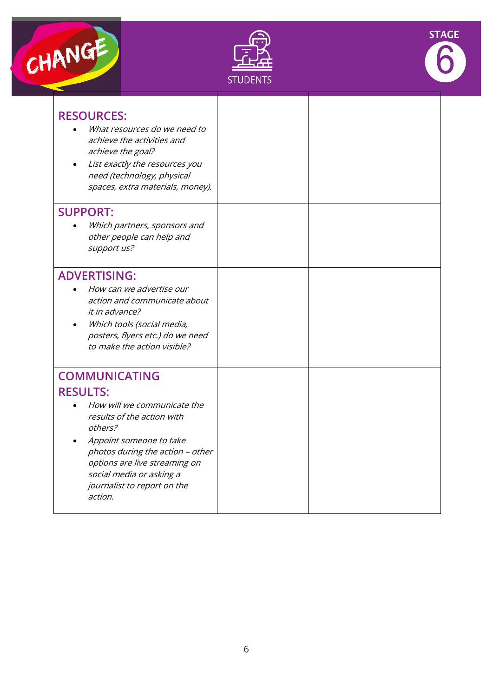





| <b>RESOURCES:</b><br>What resources do we need to<br>achieve the activities and<br>achieve the goal?<br>List exactly the resources you<br>need (technology, physical<br>spaces, extra materials, money).                                                                              |  |
|---------------------------------------------------------------------------------------------------------------------------------------------------------------------------------------------------------------------------------------------------------------------------------------|--|
| <b>SUPPORT:</b><br>Which partners, sponsors and<br>other people can help and<br>support us?                                                                                                                                                                                           |  |
| <b>ADVERTISING:</b><br>How can we advertise our<br>action and communicate about<br><i>it in advance?</i><br>Which tools (social media,<br>posters, flyers etc.) do we need<br>to make the action visible?                                                                             |  |
| <b>COMMUNICATING</b><br><b>RESULTS:</b><br>How will we communicate the<br>results of the action with<br>others?<br>Appoint someone to take<br>photos during the action - other<br>options are live streaming on<br>social media or asking a<br>journalist to report on the<br>action. |  |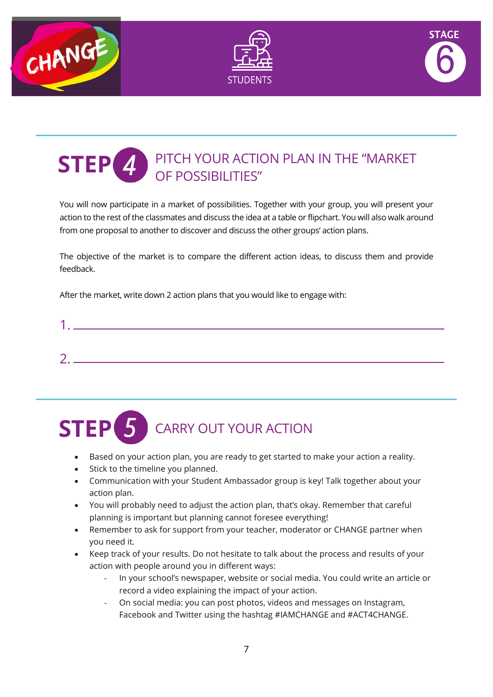





#### PITCH YOUR ACTION PLAN IN THE "MARKET OF POSSIBILITIES" **STEP**

You will now participate in a market of possibilities. Together with your group, you will present your action to the rest of the classmates and discuss the idea at a table or flipchart. You will also walk around from one proposal to another to discover and discuss the other groups' action plans.

The objective of the market is to compare the different action ideas, to discuss them and provide feedback.

After the market, write down 2 action plans that you would like to engage with:



## CARRY OUT YOUR ACTION **STEP**

- Based on your action plan, you are ready to get started to make your action a reality.
- Stick to the timeline you planned.
- Communication with your Student Ambassador group is key! Talk together about your action plan.
- You will probably need to adjust the action plan, that's okay. Remember that careful planning is important but planning cannot foresee everything!
- Remember to ask for support from your teacher, moderator or CHANGE partner when you need it.
- Keep track of your results. Do not hesitate to talk about the process and results of your action with people around you in different ways:
	- In your school's newspaper, website or social media. You could write an article or record a video explaining the impact of your action.
	- On social media: you can post photos, videos and messages on Instagram, Facebook and Twitter using the hashtag #IAMCHANGE and #ACT4CHANGE.